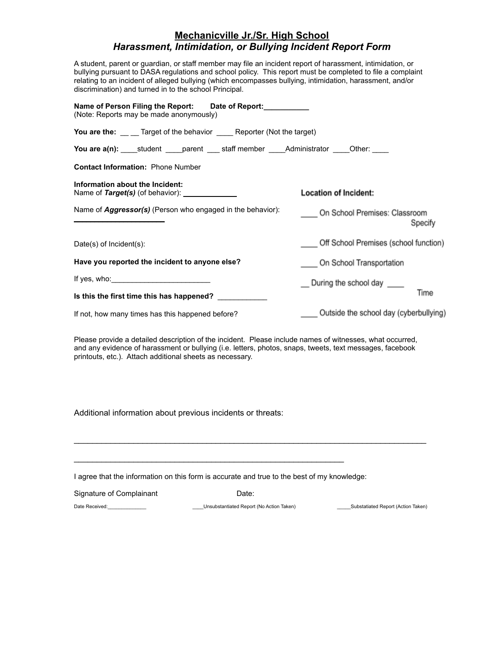## **Mechanicville Jr./Sr. High School** *Harassment, Intimidation, or Bullying Incident Report Form*

A student, parent or guardian, or staff member may file an incident report of harassment, intimidation, or bullying pursuant to DASA regulations and school policy. This report must be completed to file a complaint relating to an incident of alleged bullying (which encompasses bullying, intimidation, harassment, and/or discrimination) and turned in to the school Principal.

| Name of Person Filing the Report: Date of Report:<br>(Note: Reports may be made anonymously)  |                                          |
|-----------------------------------------------------------------------------------------------|------------------------------------------|
| You are the: __ _ Target of the behavior ______ Reporter (Not the target)                     |                                          |
| You are a(n): _____student _____parent _____staff member _____Administrator _____Other: _____ |                                          |
| <b>Contact Information: Phone Number</b>                                                      |                                          |
| Information about the Incident:<br>Name of Target(s) (of behavior): ________________          | <b>Location of Incident:</b>             |
| Name of <b>Aggressor(s)</b> (Person who engaged in the behavior):                             | On School Premises: Classroom<br>Specify |
| Date(s) of $Incident(s)$ :                                                                    | Off School Premises (school function)    |
| Have you reported the incident to anyone else?                                                | On School Transportation                 |
| If yes, who: $\sqrt{ }$                                                                       | During the school day                    |
| Is this the first time this has happened?                                                     | Time                                     |
| If not, how many times has this happened before?                                              | Outside the school day (cyberbullying)   |

Please provide a detailed description of the incident. Please include names of witnesses, what occurred, and any evidence of harassment or bullying (i.e. letters, photos, snaps, tweets, text messages, facebook printouts, etc.). Attach additional sheets as necessary.

 $\_$  ,  $\_$  ,  $\_$  ,  $\_$  ,  $\_$  ,  $\_$  ,  $\_$  ,  $\_$  ,  $\_$  ,  $\_$  ,  $\_$  ,  $\_$  ,  $\_$  ,  $\_$  ,  $\_$  ,  $\_$  ,  $\_$  ,  $\_$  ,  $\_$  ,  $\_$ 

Additional information about previous incidents or threats:

I agree that the information on this form is accurate and true to the best of my knowledge:

 $\mathcal{L}_\text{max}$  , and the contract of the contract of the contract of the contract of the contract of the contract of the contract of the contract of the contract of the contract of the contract of the contract of the contr

| Signature of Complainant | Date∶                                    |                                    |
|--------------------------|------------------------------------------|------------------------------------|
| Date Received:           | Unsubstantiated Report (No Action Taken) | Substatiated Report (Action Taken) |